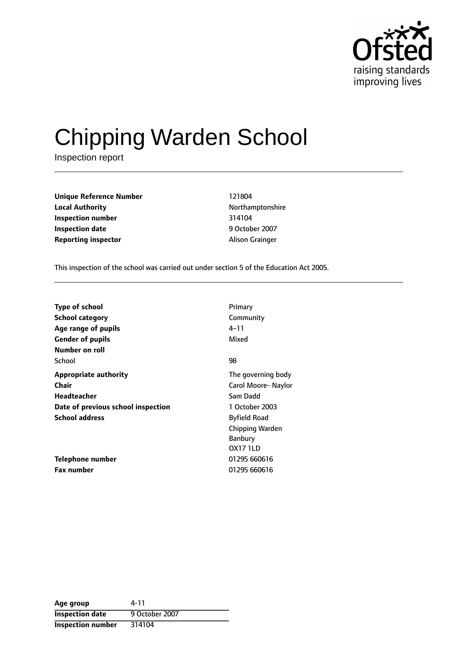

# Chipping Warden School

Inspection report

**Unique Reference Number** 121804 **Local Authority Northamptonshire Inspection number** 314104 **Inspection date** 9 October 2007 **Reporting inspector Alison Grainger** 

This inspection of the school was carried out under section 5 of the Education Act 2005.

| <b>Type of school</b>              | Primary                |
|------------------------------------|------------------------|
| <b>School category</b>             | Community              |
| Age range of pupils                | 4–11                   |
| <b>Gender of pupils</b>            | Mixed                  |
| Number on roll                     |                        |
| School                             | 98                     |
| <b>Appropriate authority</b>       | The governing body     |
| <b>Chair</b>                       | Carol Moore- Naylor    |
| Headteacher                        | Sam Dadd               |
| Date of previous school inspection | 1 October 2003         |
| <b>School address</b>              | <b>Byfield Road</b>    |
|                                    | <b>Chipping Warden</b> |
|                                    | Banbury                |
|                                    | <b>OX17 1LD</b>        |
| Telephone number                   | 01295 660616           |
| <b>Fax number</b>                  | 01295 660616           |

| Age group                | 4-11           |
|--------------------------|----------------|
| <b>Inspection date</b>   | 9 October 2007 |
| <b>Inspection number</b> | 314104         |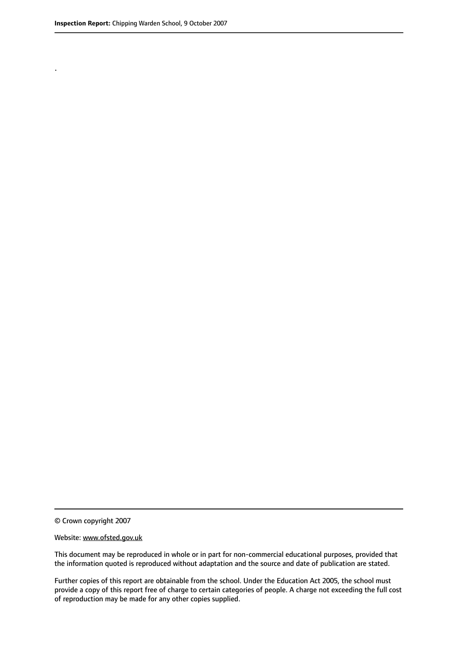.

© Crown copyright 2007

#### Website: www.ofsted.gov.uk

This document may be reproduced in whole or in part for non-commercial educational purposes, provided that the information quoted is reproduced without adaptation and the source and date of publication are stated.

Further copies of this report are obtainable from the school. Under the Education Act 2005, the school must provide a copy of this report free of charge to certain categories of people. A charge not exceeding the full cost of reproduction may be made for any other copies supplied.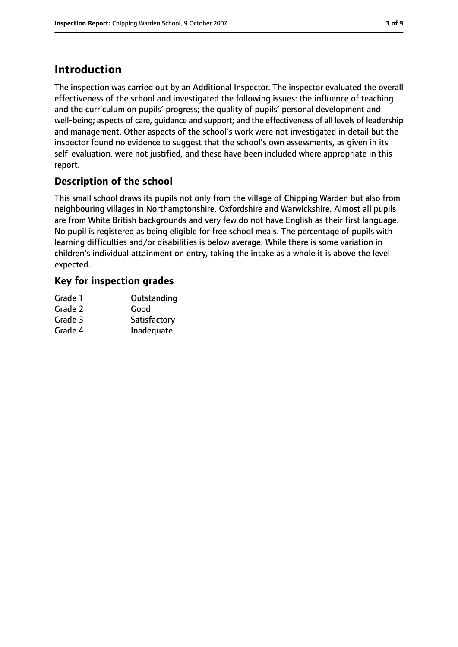# **Introduction**

The inspection was carried out by an Additional Inspector. The inspector evaluated the overall effectiveness of the school and investigated the following issues: the influence of teaching and the curriculum on pupils' progress; the quality of pupils' personal development and well-being; aspects of care, guidance and support; and the effectiveness of all levels of leadership and management. Other aspects of the school's work were not investigated in detail but the inspector found no evidence to suggest that the school's own assessments, as given in its self-evaluation, were not justified, and these have been included where appropriate in this report.

## **Description of the school**

This small school draws its pupils not only from the village of Chipping Warden but also from neighbouring villages in Northamptonshire, Oxfordshire and Warwickshire. Almost all pupils are from White British backgrounds and very few do not have English as their first language. No pupil is registered as being eligible for free school meals. The percentage of pupils with learning difficulties and/or disabilities is below average. While there is some variation in children's individual attainment on entry, taking the intake as a whole it is above the level expected.

## **Key for inspection grades**

| Grade 1 | Outstanding  |
|---------|--------------|
| Grade 2 | Good         |
| Grade 3 | Satisfactory |
| Grade 4 | Inadequate   |
|         |              |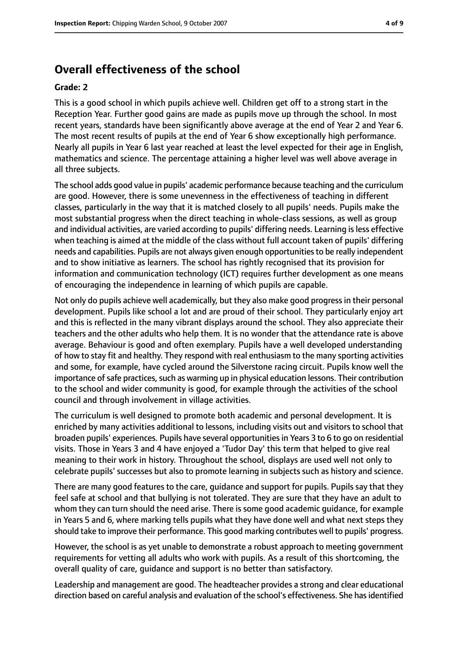## **Overall effectiveness of the school**

#### **Grade: 2**

This is a good school in which pupils achieve well. Children get off to a strong start in the Reception Year. Further good gains are made as pupils move up through the school. In most recent years, standards have been significantly above average at the end of Year 2 and Year 6. The most recent results of pupils at the end of Year 6 show exceptionally high performance. Nearly all pupils in Year 6 last year reached at least the level expected for their age in English, mathematics and science. The percentage attaining a higher level was well above average in all three subjects.

The school adds good value in pupils' academic performance because teaching and the curriculum are good. However, there is some unevenness in the effectiveness of teaching in different classes, particularly in the way that it is matched closely to all pupils' needs. Pupils make the most substantial progress when the direct teaching in whole-class sessions, as well as group and individual activities, are varied according to pupils' differing needs. Learning isless effective when teaching is aimed at the middle of the class without full account taken of pupils' differing needs and capabilities. Pupils are not always given enough opportunitiesto be really independent and to show initiative as learners. The school has rightly recognised that its provision for information and communication technology (ICT) requires further development as one means of encouraging the independence in learning of which pupils are capable.

Not only do pupils achieve well academically, but they also make good progressin their personal development. Pupils like school a lot and are proud of their school. They particularly enjoy art and this is reflected in the many vibrant displays around the school. They also appreciate their teachers and the other adults who help them. It is no wonder that the attendance rate is above average. Behaviour is good and often exemplary. Pupils have a well developed understanding of how to stay fit and healthy. They respond with real enthusiasm to the many sporting activities and some, for example, have cycled around the Silverstone racing circuit. Pupils know well the importance of safe practices, such as warming up in physical education lessons. Their contribution to the school and wider community is good, for example through the activities of the school council and through involvement in village activities.

The curriculum is well designed to promote both academic and personal development. It is enriched by many activities additional to lessons, including visits out and visitors to school that broaden pupils' experiences. Pupils have several opportunitiesin Years 3 to 6 to go on residential visits. Those in Years 3 and 4 have enjoyed a 'Tudor Day' this term that helped to give real meaning to their work in history. Throughout the school, displays are used well not only to celebrate pupils' successes but also to promote learning in subjects such as history and science.

There are many good features to the care, guidance and support for pupils. Pupils say that they feel safe at school and that bullying is not tolerated. They are sure that they have an adult to whom they can turn should the need arise. There is some good academic guidance, for example in Years 5 and 6, where marking tells pupils what they have done well and what next steps they should take to improve their performance. This good marking contributes well to pupils' progress.

However, the school is as yet unable to demonstrate a robust approach to meeting government requirements for vetting all adults who work with pupils. As a result of this shortcoming, the overall quality of care, guidance and support is no better than satisfactory.

Leadership and management are good. The headteacher provides a strong and clear educational direction based on careful analysis and evaluation of the school's effectiveness. She has identified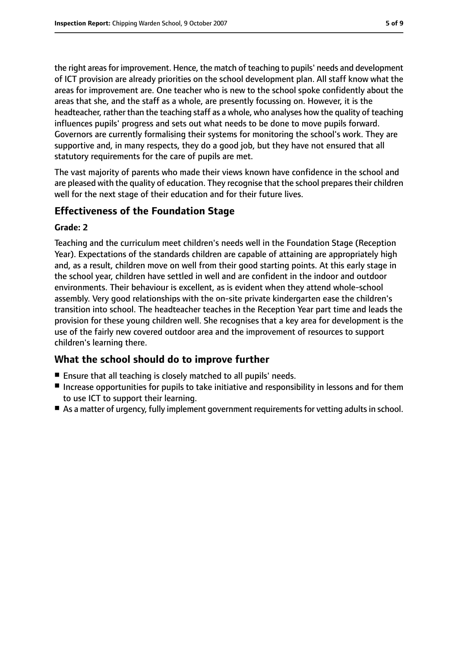the right areasfor improvement. Hence, the match of teaching to pupils' needs and development of ICT provision are already priorities on the school development plan. All staff know what the areas for improvement are. One teacher who is new to the school spoke confidently about the areas that she, and the staff as a whole, are presently focussing on. However, it is the headteacher, rather than the teaching staff as a whole, who analyses how the quality of teaching influences pupils' progress and sets out what needs to be done to move pupils forward. Governors are currently formalising their systems for monitoring the school's work. They are supportive and, in many respects, they do a good job, but they have not ensured that all statutory requirements for the care of pupils are met.

The vast majority of parents who made their views known have confidence in the school and are pleased with the quality of education. They recognise that the school prepares their children well for the next stage of their education and for their future lives.

## **Effectiveness of the Foundation Stage**

#### **Grade: 2**

Teaching and the curriculum meet children's needs well in the Foundation Stage (Reception Year). Expectations of the standards children are capable of attaining are appropriately high and, as a result, children move on well from their good starting points. At this early stage in the school year, children have settled in well and are confident in the indoor and outdoor environments. Their behaviour is excellent, as is evident when they attend whole-school assembly. Very good relationships with the on-site private kindergarten ease the children's transition into school. The headteacher teaches in the Reception Year part time and leads the provision for these young children well. She recognises that a key area for development is the use of the fairly new covered outdoor area and the improvement of resources to support children's learning there.

## **What the school should do to improve further**

- Ensure that all teaching is closely matched to all pupils' needs.
- Increase opportunities for pupils to take initiative and responsibility in lessons and for them to use ICT to support their learning.
- As a matter of urgency, fully implement government requirements for vetting adults in school.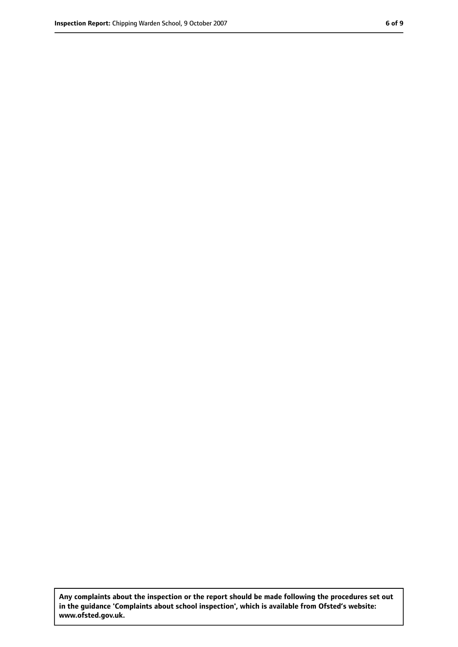**Any complaints about the inspection or the report should be made following the procedures set out in the guidance 'Complaints about school inspection', which is available from Ofsted's website: www.ofsted.gov.uk.**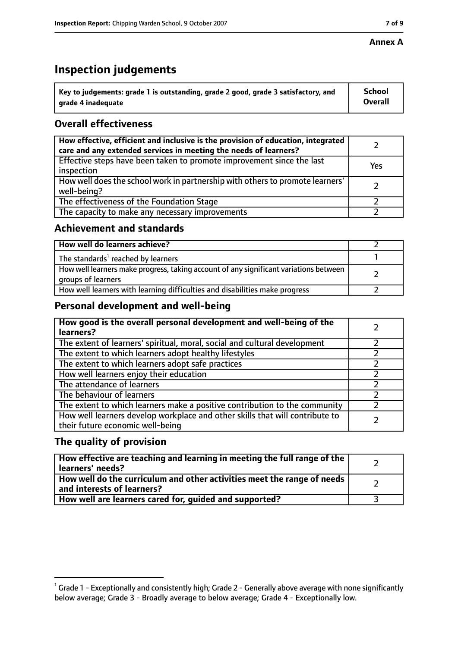#### **Annex A**

# **Inspection judgements**

| $^{\backprime}$ Key to judgements: grade 1 is outstanding, grade 2 good, grade 3 satisfactory, and | <b>School</b>  |
|----------------------------------------------------------------------------------------------------|----------------|
| arade 4 inadequate                                                                                 | <b>Overall</b> |

## **Overall effectiveness**

| How effective, efficient and inclusive is the provision of education, integrated<br>care and any extended services in meeting the needs of learners? |     |
|------------------------------------------------------------------------------------------------------------------------------------------------------|-----|
| Effective steps have been taken to promote improvement since the last<br>inspection                                                                  | Yes |
| How well does the school work in partnership with others to promote learners'<br>well-being?                                                         |     |
| The effectiveness of the Foundation Stage                                                                                                            |     |
| The capacity to make any necessary improvements                                                                                                      |     |

## **Achievement and standards**

| How well do learners achieve?                                                                               |  |
|-------------------------------------------------------------------------------------------------------------|--|
| The standards <sup>1</sup> reached by learners                                                              |  |
| How well learners make progress, taking account of any significant variations between<br>groups of learners |  |
| How well learners with learning difficulties and disabilities make progress                                 |  |

## **Personal development and well-being**

| How good is the overall personal development and well-being of the<br>learners?                                  |  |
|------------------------------------------------------------------------------------------------------------------|--|
| The extent of learners' spiritual, moral, social and cultural development                                        |  |
| The extent to which learners adopt healthy lifestyles                                                            |  |
| The extent to which learners adopt safe practices                                                                |  |
| How well learners enjoy their education                                                                          |  |
| The attendance of learners                                                                                       |  |
| The behaviour of learners                                                                                        |  |
| The extent to which learners make a positive contribution to the community                                       |  |
| How well learners develop workplace and other skills that will contribute to<br>their future economic well-being |  |

## **The quality of provision**

| How effective are teaching and learning in meeting the full range of the<br>learners' needs?          |  |
|-------------------------------------------------------------------------------------------------------|--|
| How well do the curriculum and other activities meet the range of needs<br>and interests of learners? |  |
| How well are learners cared for, quided and supported?                                                |  |

 $^1$  Grade 1 - Exceptionally and consistently high; Grade 2 - Generally above average with none significantly below average; Grade 3 - Broadly average to below average; Grade 4 - Exceptionally low.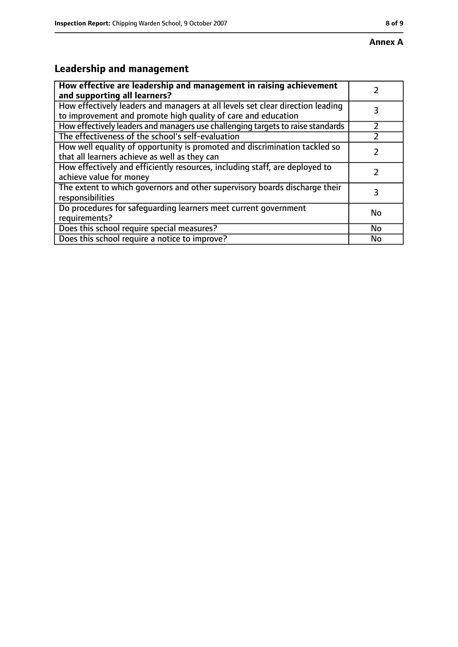# **Leadership and management**

| How effective are leadership and management in raising achievement<br>and supporting all learners?                                              |    |
|-------------------------------------------------------------------------------------------------------------------------------------------------|----|
| How effectively leaders and managers at all levels set clear direction leading<br>to improvement and promote high quality of care and education |    |
| How effectively leaders and managers use challenging targets to raise standards                                                                 |    |
| The effectiveness of the school's self-evaluation                                                                                               |    |
| How well equality of opportunity is promoted and discrimination tackled so<br>that all learners achieve as well as they can                     |    |
| How effectively and efficiently resources, including staff, are deployed to<br>achieve value for money                                          |    |
| The extent to which governors and other supervisory boards discharge their<br>responsibilities                                                  | 3  |
| Do procedures for safequarding learners meet current government<br>requirements?                                                                | No |
| Does this school require special measures?                                                                                                      | No |
| Does this school require a notice to improve?                                                                                                   | No |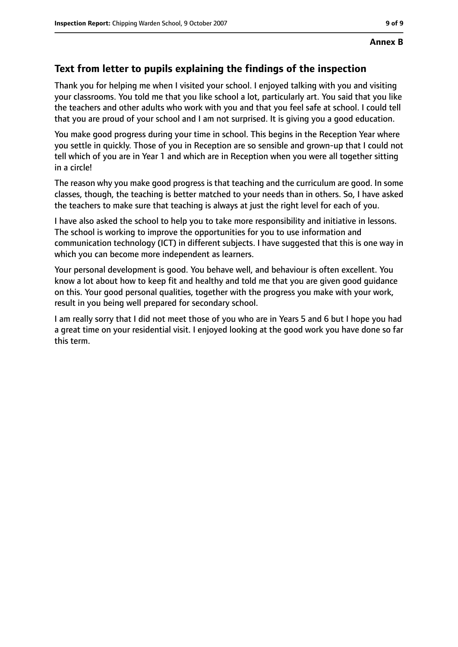## **Text from letter to pupils explaining the findings of the inspection**

Thank you for helping me when I visited your school. I enjoyed talking with you and visiting your classrooms. You told me that you like school a lot, particularly art. You said that you like the teachers and other adults who work with you and that you feel safe at school. I could tell that you are proud of your school and I am not surprised. It is giving you a good education.

You make good progress during your time in school. This begins in the Reception Year where you settle in quickly. Those of you in Reception are so sensible and grown-up that I could not tell which of you are in Year 1 and which are in Reception when you were all together sitting in a circle!

The reason why you make good progress is that teaching and the curriculum are good. In some classes, though, the teaching is better matched to your needs than in others. So, I have asked the teachers to make sure that teaching is always at just the right level for each of you.

I have also asked the school to help you to take more responsibility and initiative in lessons. The school is working to improve the opportunities for you to use information and communication technology (ICT) in different subjects. I have suggested that this is one way in which you can become more independent as learners.

Your personal development is good. You behave well, and behaviour is often excellent. You know a lot about how to keep fit and healthy and told me that you are given good guidance on this. Your good personal qualities, together with the progress you make with your work, result in you being well prepared for secondary school.

I am really sorry that I did not meet those of you who are in Years 5 and 6 but I hope you had a great time on your residential visit. I enjoyed looking at the good work you have done so far this term.